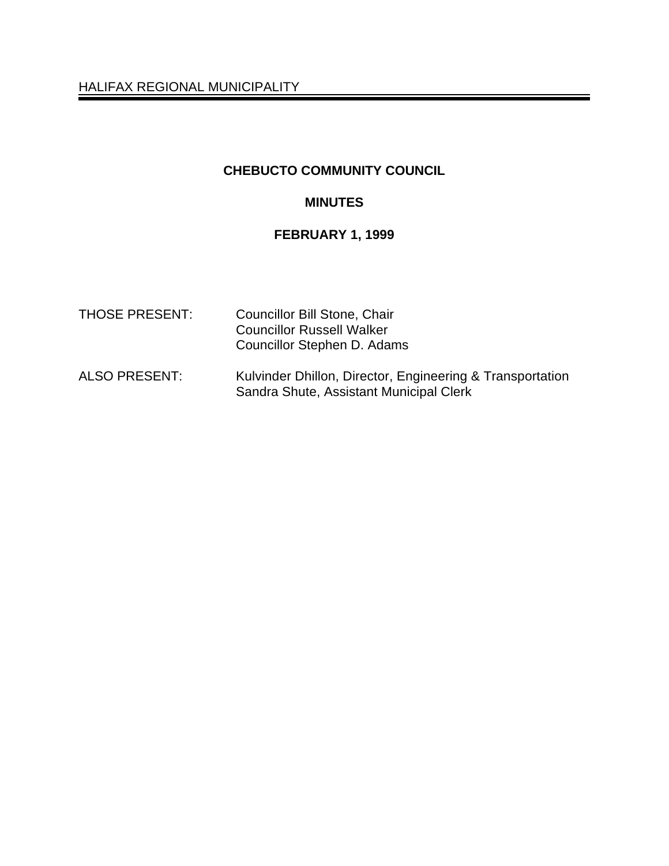HALIFAX REGIONAL MUNICIPALITY

# **CHEBUCTO COMMUNITY COUNCIL**

### **MINUTES**

### **FEBRUARY 1, 1999**

| <b>THOSE PRESENT:</b> | Councillor Bill Stone, Chair<br><b>Councillor Russell Walker</b><br>Councillor Stephen D. Adams      |
|-----------------------|------------------------------------------------------------------------------------------------------|
| <b>ALSO PRESENT:</b>  | Kulvinder Dhillon, Director, Engineering & Transportation<br>Sandra Shute, Assistant Municipal Clerk |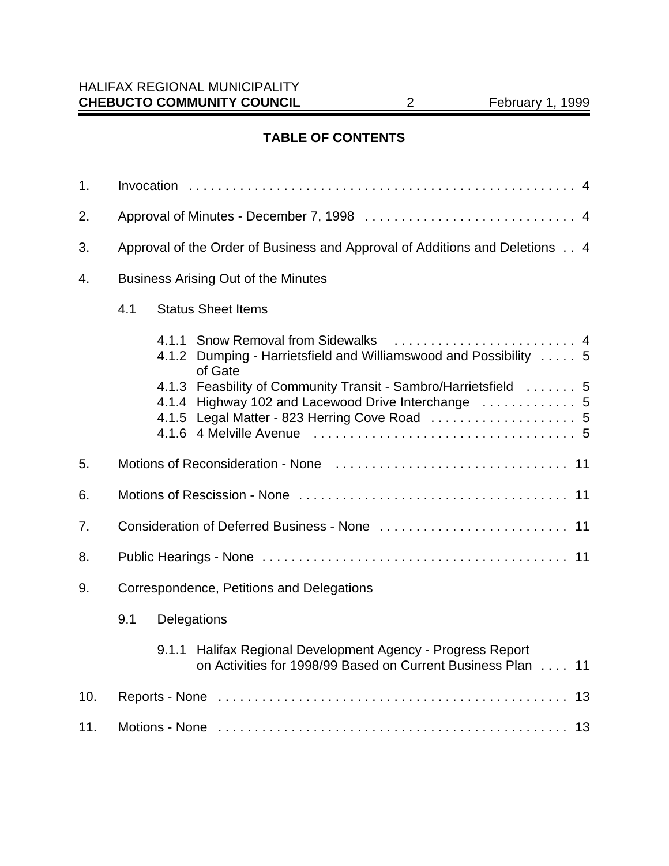# **TABLE OF CONTENTS**

| 1.  |                                                                                                                                                                         |
|-----|-------------------------------------------------------------------------------------------------------------------------------------------------------------------------|
| 2.  |                                                                                                                                                                         |
| 3.  | Approval of the Order of Business and Approval of Additions and Deletions 4                                                                                             |
| 4.  | <b>Business Arising Out of the Minutes</b>                                                                                                                              |
|     | 4.1<br><b>Status Sheet Items</b>                                                                                                                                        |
|     | 4.1.2 Dumping - Harrietsfield and Williamswood and Possibility  5<br>of Gate                                                                                            |
|     | 4.1.3 Feasbility of Community Transit - Sambro/Harrietsfield  5<br>4.1.4 Highway 102 and Lacewood Drive Interchange  5<br>4.1.5 Legal Matter - 823 Herring Cove Road  5 |
| 5.  |                                                                                                                                                                         |
| 6.  |                                                                                                                                                                         |
| 7.  |                                                                                                                                                                         |
| 8.  |                                                                                                                                                                         |
| 9.  | Correspondence, Petitions and Delegations                                                                                                                               |
|     | 9.1<br>Delegations                                                                                                                                                      |
|     | 9.1.1 Halifax Regional Development Agency - Progress Report<br>on Activities for 1998/99 Based on Current Business Plan<br>11                                           |
| 10. |                                                                                                                                                                         |
| 11. |                                                                                                                                                                         |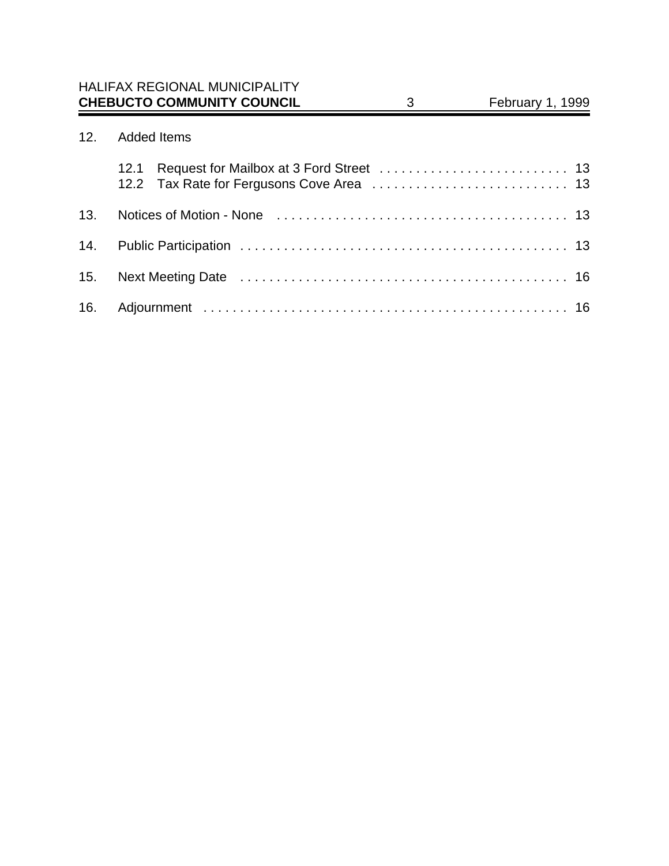# 12. Added Items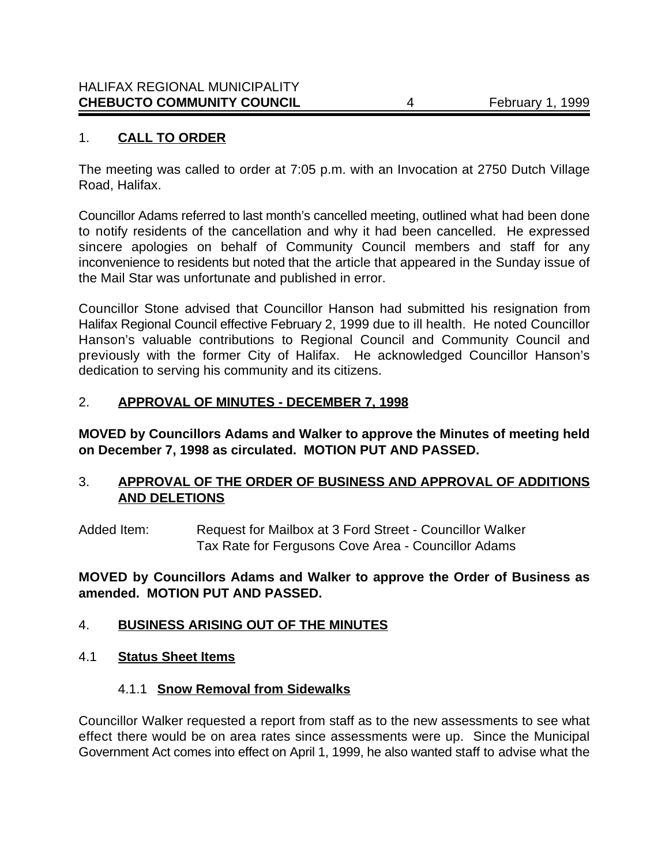# 1. **CALL TO ORDER**

The meeting was called to order at 7:05 p.m. with an Invocation at 2750 Dutch Village Road, Halifax.

Councillor Adams referred to last month's cancelled meeting, outlined what had been done to notify residents of the cancellation and why it had been cancelled. He expressed sincere apologies on behalf of Community Council members and staff for any inconvenience to residents but noted that the article that appeared in the Sunday issue of the Mail Star was unfortunate and published in error.

Councillor Stone advised that Councillor Hanson had submitted his resignation from Halifax Regional Council effective February 2, 1999 due to ill health. He noted Councillor Hanson's valuable contributions to Regional Council and Community Council and previously with the former City of Halifax. He acknowledged Councillor Hanson's dedication to serving his community and its citizens.

### 2. **APPROVAL OF MINUTES - DECEMBER 7, 1998**

**MOVED by Councillors Adams and Walker to approve the Minutes of meeting held on December 7, 1998 as circulated. MOTION PUT AND PASSED.**

### 3. **APPROVAL OF THE ORDER OF BUSINESS AND APPROVAL OF ADDITIONS AND DELETIONS**

Added Item: Request for Mailbox at 3 Ford Street - Councillor Walker Tax Rate for Fergusons Cove Area - Councillor Adams

### **MOVED by Councillors Adams and Walker to approve the Order of Business as amended. MOTION PUT AND PASSED.**

### 4. **BUSINESS ARISING OUT OF THE MINUTES**

### 4.1 **Status Sheet Items**

### 4.1.1 **Snow Removal from Sidewalks**

Councillor Walker requested a report from staff as to the new assessments to see what effect there would be on area rates since assessments were up. Since the Municipal Government Act comes into effect on April 1, 1999, he also wanted staff to advise what the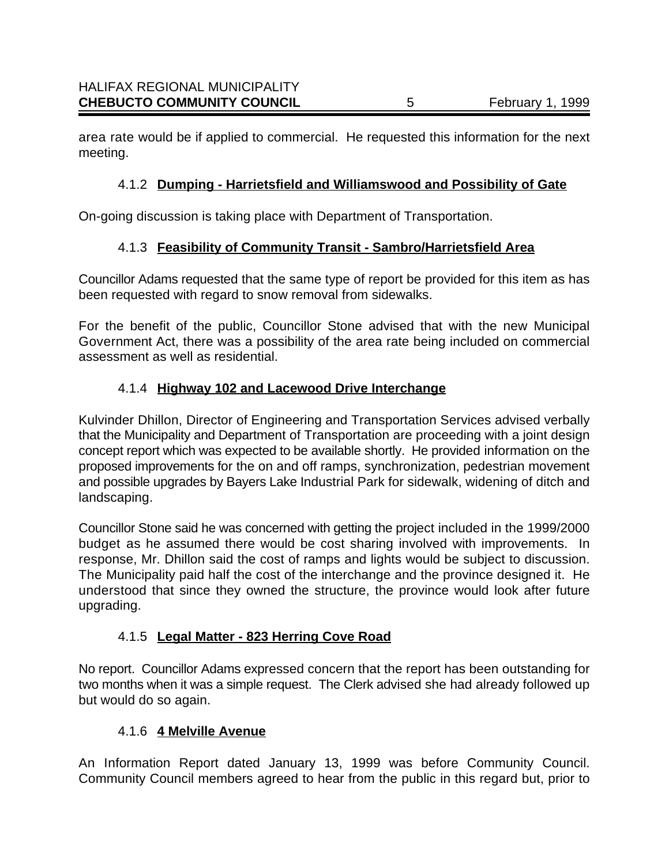area rate would be if applied to commercial. He requested this information for the next meeting.

# 4.1.2 **Dumping - Harrietsfield and Williamswood and Possibility of Gate**

On-going discussion is taking place with Department of Transportation.

# 4.1.3 **Feasibility of Community Transit - Sambro/Harrietsfield Area**

Councillor Adams requested that the same type of report be provided for this item as has been requested with regard to snow removal from sidewalks.

For the benefit of the public, Councillor Stone advised that with the new Municipal Government Act, there was a possibility of the area rate being included on commercial assessment as well as residential.

# 4.1.4 **Highway 102 and Lacewood Drive Interchange**

Kulvinder Dhillon, Director of Engineering and Transportation Services advised verbally that the Municipality and Department of Transportation are proceeding with a joint design concept report which was expected to be available shortly. He provided information on the proposed improvements for the on and off ramps, synchronization, pedestrian movement and possible upgrades by Bayers Lake Industrial Park for sidewalk, widening of ditch and landscaping.

Councillor Stone said he was concerned with getting the project included in the 1999/2000 budget as he assumed there would be cost sharing involved with improvements. In response, Mr. Dhillon said the cost of ramps and lights would be subject to discussion. The Municipality paid half the cost of the interchange and the province designed it. He understood that since they owned the structure, the province would look after future upgrading.

# 4.1.5 **Legal Matter - 823 Herring Cove Road**

No report. Councillor Adams expressed concern that the report has been outstanding for two months when it was a simple request. The Clerk advised she had already followed up but would do so again.

# 4.1.6 **4 Melville Avenue**

An Information Report dated January 13, 1999 was before Community Council. Community Council members agreed to hear from the public in this regard but, prior to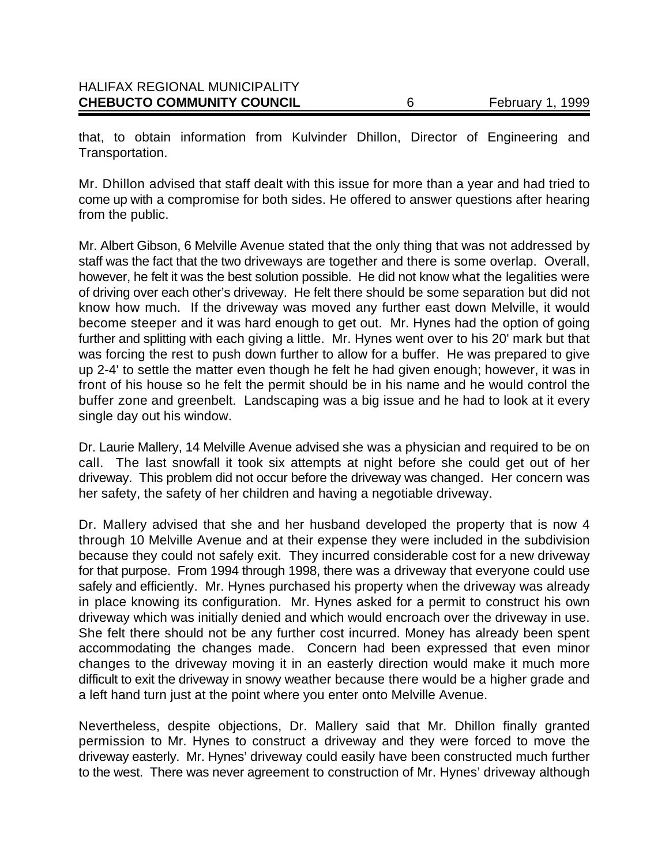| <b>CHEBUCTO COMMUNITY COUNCIL</b>    | February 1, 1999 |
|--------------------------------------|------------------|
| <b>HALIFAX REGIONAL MUNICIPALITY</b> |                  |

that, to obtain information from Kulvinder Dhillon, Director of Engineering and Transportation.

Mr. Dhillon advised that staff dealt with this issue for more than a year and had tried to come up with a compromise for both sides. He offered to answer questions after hearing from the public.

Mr. Albert Gibson, 6 Melville Avenue stated that the only thing that was not addressed by staff was the fact that the two driveways are together and there is some overlap. Overall, however, he felt it was the best solution possible. He did not know what the legalities were of driving over each other's driveway. He felt there should be some separation but did not know how much. If the driveway was moved any further east down Melville, it would become steeper and it was hard enough to get out. Mr. Hynes had the option of going further and splitting with each giving a little. Mr. Hynes went over to his 20' mark but that was forcing the rest to push down further to allow for a buffer. He was prepared to give up 2-4' to settle the matter even though he felt he had given enough; however, it was in front of his house so he felt the permit should be in his name and he would control the buffer zone and greenbelt. Landscaping was a big issue and he had to look at it every single day out his window.

Dr. Laurie Mallery, 14 Melville Avenue advised she was a physician and required to be on call. The last snowfall it took six attempts at night before she could get out of her driveway. This problem did not occur before the driveway was changed. Her concern was her safety, the safety of her children and having a negotiable driveway.

Dr. Mallery advised that she and her husband developed the property that is now 4 through 10 Melville Avenue and at their expense they were included in the subdivision because they could not safely exit. They incurred considerable cost for a new driveway for that purpose. From 1994 through 1998, there was a driveway that everyone could use safely and efficiently. Mr. Hynes purchased his property when the driveway was already in place knowing its configuration. Mr. Hynes asked for a permit to construct his own driveway which was initially denied and which would encroach over the driveway in use. She felt there should not be any further cost incurred. Money has already been spent accommodating the changes made. Concern had been expressed that even minor changes to the driveway moving it in an easterly direction would make it much more difficult to exit the driveway in snowy weather because there would be a higher grade and a left hand turn just at the point where you enter onto Melville Avenue.

Nevertheless, despite objections, Dr. Mallery said that Mr. Dhillon finally granted permission to Mr. Hynes to construct a driveway and they were forced to move the driveway easterly. Mr. Hynes' driveway could easily have been constructed much further to the west. There was never agreement to construction of Mr. Hynes' driveway although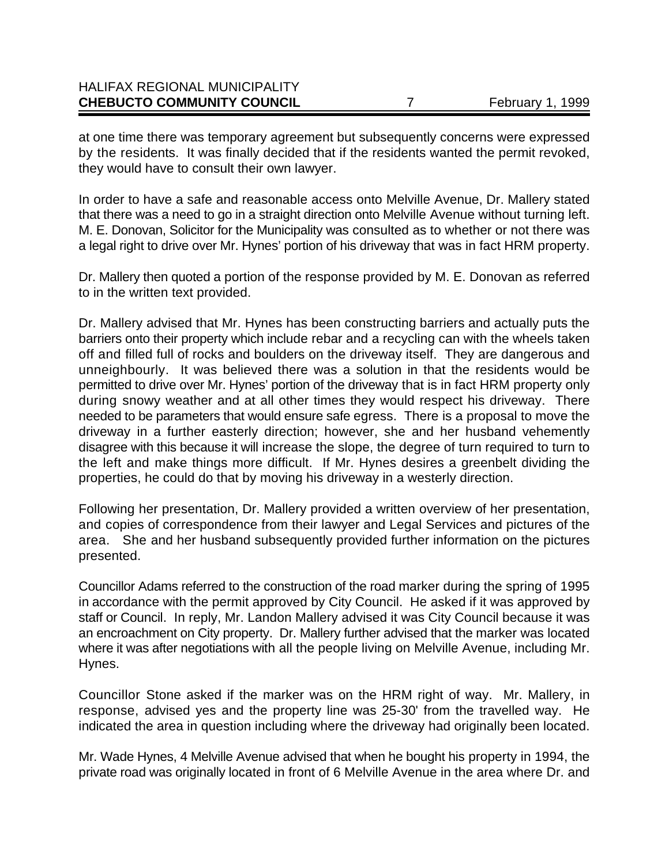| <b>CHEBUCTO COMMUNITY COUNCIL</b>    | February 1, 1999 |
|--------------------------------------|------------------|
| <b>HALIFAX REGIONAL MUNICIPALITY</b> |                  |

at one time there was temporary agreement but subsequently concerns were expressed by the residents. It was finally decided that if the residents wanted the permit revoked, they would have to consult their own lawyer.

In order to have a safe and reasonable access onto Melville Avenue, Dr. Mallery stated that there was a need to go in a straight direction onto Melville Avenue without turning left. M. E. Donovan, Solicitor for the Municipality was consulted as to whether or not there was a legal right to drive over Mr. Hynes' portion of his driveway that was in fact HRM property.

Dr. Mallery then quoted a portion of the response provided by M. E. Donovan as referred to in the written text provided.

Dr. Mallery advised that Mr. Hynes has been constructing barriers and actually puts the barriers onto their property which include rebar and a recycling can with the wheels taken off and filled full of rocks and boulders on the driveway itself. They are dangerous and unneighbourly. It was believed there was a solution in that the residents would be permitted to drive over Mr. Hynes' portion of the driveway that is in fact HRM property only during snowy weather and at all other times they would respect his driveway. There needed to be parameters that would ensure safe egress. There is a proposal to move the driveway in a further easterly direction; however, she and her husband vehemently disagree with this because it will increase the slope, the degree of turn required to turn to the left and make things more difficult. If Mr. Hynes desires a greenbelt dividing the properties, he could do that by moving his driveway in a westerly direction.

Following her presentation, Dr. Mallery provided a written overview of her presentation, and copies of correspondence from their lawyer and Legal Services and pictures of the area. She and her husband subsequently provided further information on the pictures presented.

Councillor Adams referred to the construction of the road marker during the spring of 1995 in accordance with the permit approved by City Council. He asked if it was approved by staff or Council. In reply, Mr. Landon Mallery advised it was City Council because it was an encroachment on City property. Dr. Mallery further advised that the marker was located where it was after negotiations with all the people living on Melville Avenue, including Mr. Hynes.

Councillor Stone asked if the marker was on the HRM right of way. Mr. Mallery, in response, advised yes and the property line was 25-30' from the travelled way. He indicated the area in question including where the driveway had originally been located.

Mr. Wade Hynes, 4 Melville Avenue advised that when he bought his property in 1994, the private road was originally located in front of 6 Melville Avenue in the area where Dr. and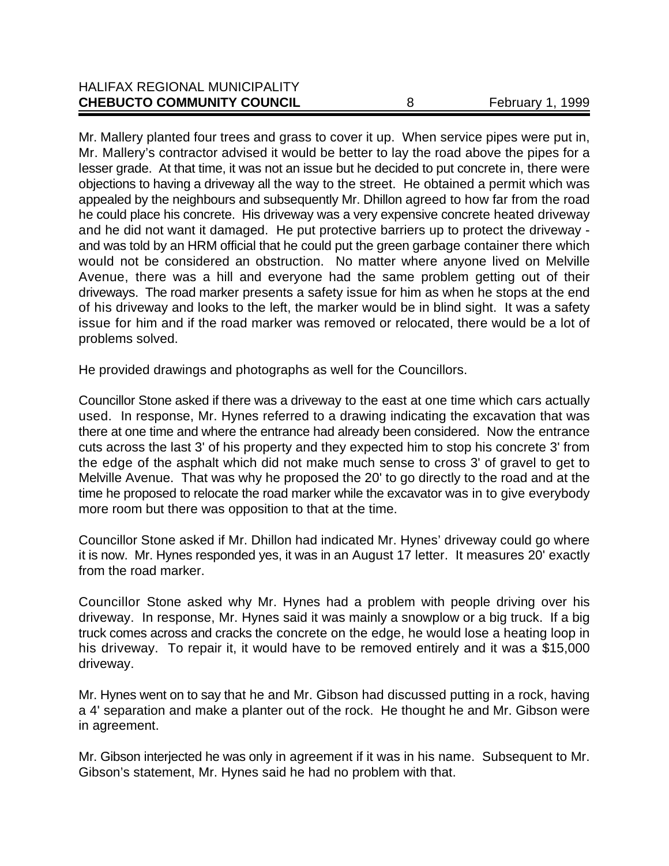| <b>CHEBUCTO COMMUNITY COUNCIL</b>    | February 1, 1999 |
|--------------------------------------|------------------|
| <b>HALIFAX REGIONAL MUNICIPALITY</b> |                  |

Mr. Mallery planted four trees and grass to cover it up. When service pipes were put in, Mr. Mallery's contractor advised it would be better to lay the road above the pipes for a lesser grade. At that time, it was not an issue but he decided to put concrete in, there were objections to having a driveway all the way to the street. He obtained a permit which was appealed by the neighbours and subsequently Mr. Dhillon agreed to how far from the road he could place his concrete. His driveway was a very expensive concrete heated driveway and he did not want it damaged. He put protective barriers up to protect the driveway and was told by an HRM official that he could put the green garbage container there which would not be considered an obstruction. No matter where anyone lived on Melville Avenue, there was a hill and everyone had the same problem getting out of their driveways. The road marker presents a safety issue for him as when he stops at the end of his driveway and looks to the left, the marker would be in blind sight. It was a safety issue for him and if the road marker was removed or relocated, there would be a lot of problems solved.

He provided drawings and photographs as well for the Councillors.

Councillor Stone asked if there was a driveway to the east at one time which cars actually used. In response, Mr. Hynes referred to a drawing indicating the excavation that was there at one time and where the entrance had already been considered. Now the entrance cuts across the last 3' of his property and they expected him to stop his concrete 3' from the edge of the asphalt which did not make much sense to cross 3' of gravel to get to Melville Avenue. That was why he proposed the 20' to go directly to the road and at the time he proposed to relocate the road marker while the excavator was in to give everybody more room but there was opposition to that at the time.

Councillor Stone asked if Mr. Dhillon had indicated Mr. Hynes' driveway could go where it is now. Mr. Hynes responded yes, it was in an August 17 letter. It measures 20' exactly from the road marker.

Councillor Stone asked why Mr. Hynes had a problem with people driving over his driveway. In response, Mr. Hynes said it was mainly a snowplow or a big truck. If a big truck comes across and cracks the concrete on the edge, he would lose a heating loop in his driveway. To repair it, it would have to be removed entirely and it was a \$15,000 driveway.

Mr. Hynes went on to say that he and Mr. Gibson had discussed putting in a rock, having a 4' separation and make a planter out of the rock. He thought he and Mr. Gibson were in agreement.

Mr. Gibson interjected he was only in agreement if it was in his name. Subsequent to Mr. Gibson's statement, Mr. Hynes said he had no problem with that.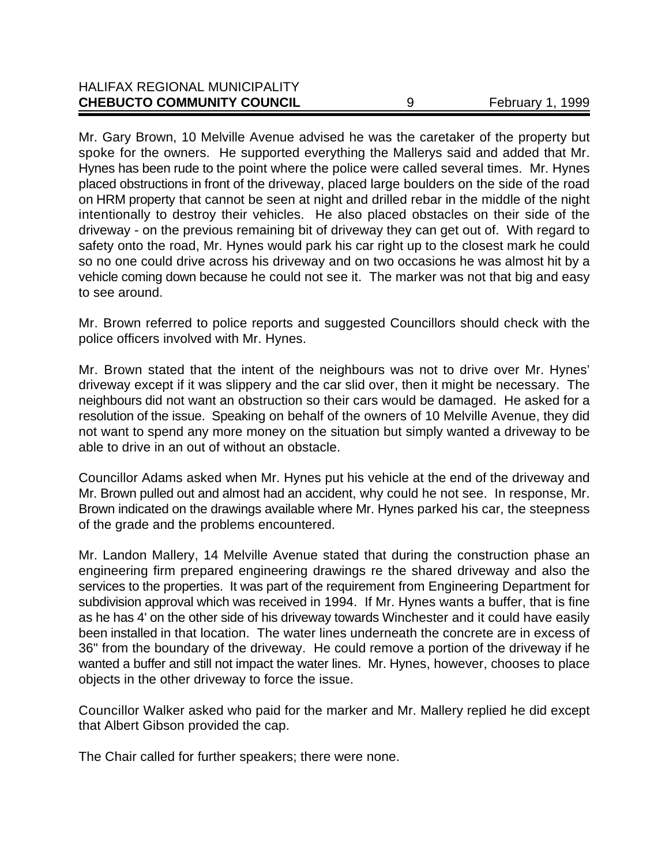| <b>CHEBUCTO COMMUNITY COUNCIL</b>    | February 1, 1999 |
|--------------------------------------|------------------|
| <b>HALIFAX REGIONAL MUNICIPALITY</b> |                  |

Mr. Gary Brown, 10 Melville Avenue advised he was the caretaker of the property but spoke for the owners. He supported everything the Mallerys said and added that Mr. Hynes has been rude to the point where the police were called several times. Mr. Hynes placed obstructions in front of the driveway, placed large boulders on the side of the road on HRM property that cannot be seen at night and drilled rebar in the middle of the night intentionally to destroy their vehicles. He also placed obstacles on their side of the driveway - on the previous remaining bit of driveway they can get out of. With regard to safety onto the road, Mr. Hynes would park his car right up to the closest mark he could so no one could drive across his driveway and on two occasions he was almost hit by a vehicle coming down because he could not see it. The marker was not that big and easy to see around.

Mr. Brown referred to police reports and suggested Councillors should check with the police officers involved with Mr. Hynes.

Mr. Brown stated that the intent of the neighbours was not to drive over Mr. Hynes' driveway except if it was slippery and the car slid over, then it might be necessary. The neighbours did not want an obstruction so their cars would be damaged. He asked for a resolution of the issue. Speaking on behalf of the owners of 10 Melville Avenue, they did not want to spend any more money on the situation but simply wanted a driveway to be able to drive in an out of without an obstacle.

Councillor Adams asked when Mr. Hynes put his vehicle at the end of the driveway and Mr. Brown pulled out and almost had an accident, why could he not see. In response, Mr. Brown indicated on the drawings available where Mr. Hynes parked his car, the steepness of the grade and the problems encountered.

Mr. Landon Mallery, 14 Melville Avenue stated that during the construction phase an engineering firm prepared engineering drawings re the shared driveway and also the services to the properties. It was part of the requirement from Engineering Department for subdivision approval which was received in 1994. If Mr. Hynes wants a buffer, that is fine as he has 4' on the other side of his driveway towards Winchester and it could have easily been installed in that location. The water lines underneath the concrete are in excess of 36" from the boundary of the driveway. He could remove a portion of the driveway if he wanted a buffer and still not impact the water lines. Mr. Hynes, however, chooses to place objects in the other driveway to force the issue.

Councillor Walker asked who paid for the marker and Mr. Mallery replied he did except that Albert Gibson provided the cap.

The Chair called for further speakers; there were none.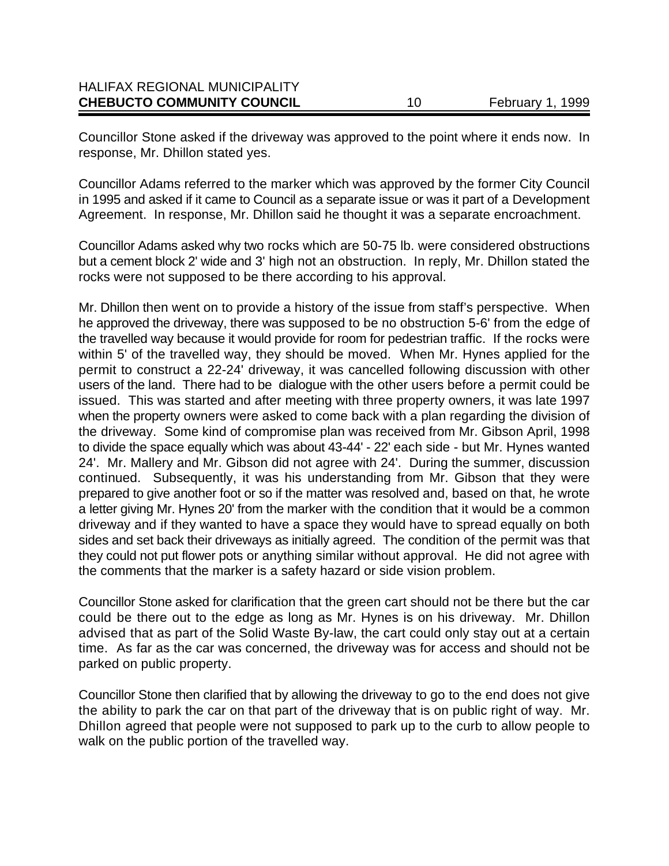| February 1, 1999 |
|------------------|
|                  |
|                  |
|                  |

Councillor Stone asked if the driveway was approved to the point where it ends now. In response, Mr. Dhillon stated yes.

Councillor Adams referred to the marker which was approved by the former City Council in 1995 and asked if it came to Council as a separate issue or was it part of a Development Agreement. In response, Mr. Dhillon said he thought it was a separate encroachment.

Councillor Adams asked why two rocks which are 50-75 lb. were considered obstructions but a cement block 2' wide and 3' high not an obstruction. In reply, Mr. Dhillon stated the rocks were not supposed to be there according to his approval.

Mr. Dhillon then went on to provide a history of the issue from staff's perspective. When he approved the driveway, there was supposed to be no obstruction 5-6' from the edge of the travelled way because it would provide for room for pedestrian traffic. If the rocks were within 5' of the travelled way, they should be moved. When Mr. Hynes applied for the permit to construct a 22-24' driveway, it was cancelled following discussion with other users of the land. There had to be dialogue with the other users before a permit could be issued. This was started and after meeting with three property owners, it was late 1997 when the property owners were asked to come back with a plan regarding the division of the driveway. Some kind of compromise plan was received from Mr. Gibson April, 1998 to divide the space equally which was about 43-44' - 22' each side - but Mr. Hynes wanted 24'. Mr. Mallery and Mr. Gibson did not agree with 24'. During the summer, discussion continued. Subsequently, it was his understanding from Mr. Gibson that they were prepared to give another foot or so if the matter was resolved and, based on that, he wrote a letter giving Mr. Hynes 20' from the marker with the condition that it would be a common driveway and if they wanted to have a space they would have to spread equally on both sides and set back their driveways as initially agreed. The condition of the permit was that they could not put flower pots or anything similar without approval. He did not agree with the comments that the marker is a safety hazard or side vision problem.

Councillor Stone asked for clarification that the green cart should not be there but the car could be there out to the edge as long as Mr. Hynes is on his driveway. Mr. Dhillon advised that as part of the Solid Waste By-law, the cart could only stay out at a certain time. As far as the car was concerned, the driveway was for access and should not be parked on public property.

Councillor Stone then clarified that by allowing the driveway to go to the end does not give the ability to park the car on that part of the driveway that is on public right of way. Mr. Dhillon agreed that people were not supposed to park up to the curb to allow people to walk on the public portion of the travelled way.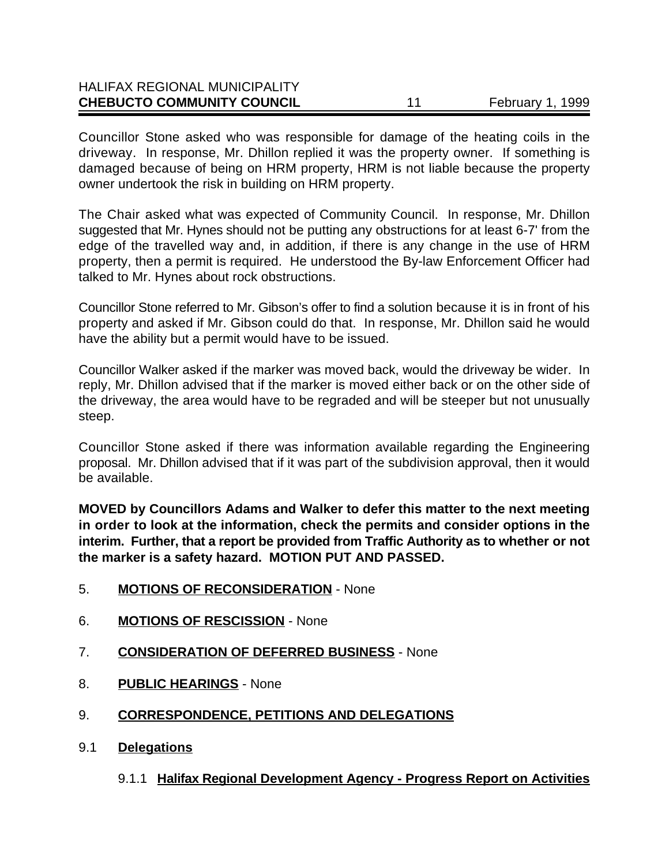| <b>CHEBUCTO COMMUNITY COUNCIL</b>    | 44 | February 1, 1999 |
|--------------------------------------|----|------------------|
| <b>HALIFAX REGIONAL MUNICIPALITY</b> |    |                  |

Councillor Stone asked who was responsible for damage of the heating coils in the driveway. In response, Mr. Dhillon replied it was the property owner. If something is damaged because of being on HRM property, HRM is not liable because the property owner undertook the risk in building on HRM property.

The Chair asked what was expected of Community Council. In response, Mr. Dhillon suggested that Mr. Hynes should not be putting any obstructions for at least 6-7' from the edge of the travelled way and, in addition, if there is any change in the use of HRM property, then a permit is required. He understood the By-law Enforcement Officer had talked to Mr. Hynes about rock obstructions.

Councillor Stone referred to Mr. Gibson's offer to find a solution because it is in front of his property and asked if Mr. Gibson could do that. In response, Mr. Dhillon said he would have the ability but a permit would have to be issued.

Councillor Walker asked if the marker was moved back, would the driveway be wider. In reply, Mr. Dhillon advised that if the marker is moved either back or on the other side of the driveway, the area would have to be regraded and will be steeper but not unusually steep.

Councillor Stone asked if there was information available regarding the Engineering proposal. Mr. Dhillon advised that if it was part of the subdivision approval, then it would be available.

**MOVED by Councillors Adams and Walker to defer this matter to the next meeting in order to look at the information, check the permits and consider options in the interim. Further, that a report be provided from Traffic Authority as to whether or not the marker is a safety hazard. MOTION PUT AND PASSED.**

- 5. **MOTIONS OF RECONSIDERATION** None
- 6. **MOTIONS OF RESCISSION** None
- 7. **CONSIDERATION OF DEFERRED BUSINESS** None
- 8. **PUBLIC HEARINGS** None
- 9. **CORRESPONDENCE, PETITIONS AND DELEGATIONS**
- 9.1 **Delegations**

9.1.1 **Halifax Regional Development Agency - Progress Report on Activities**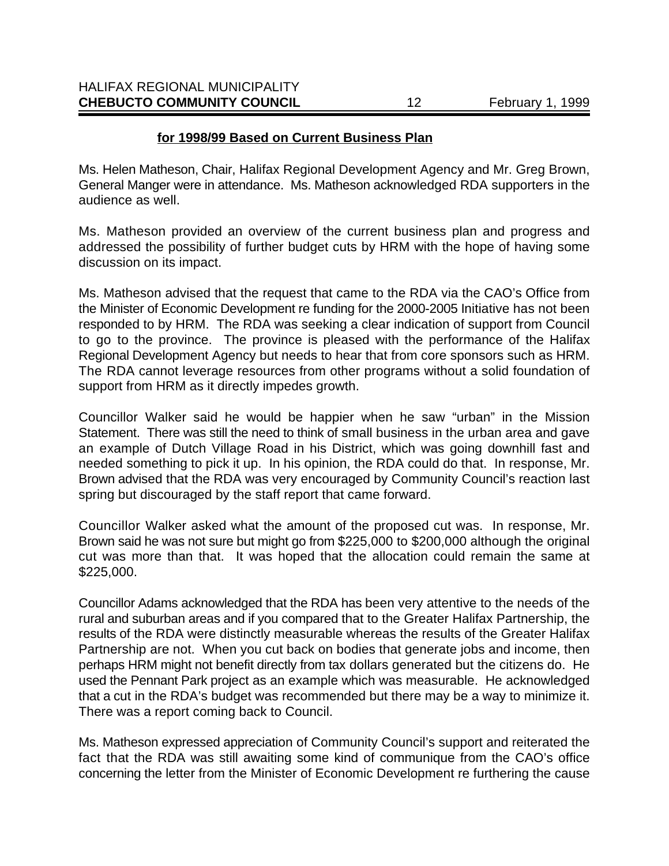### **for 1998/99 Based on Current Business Plan**

Ms. Helen Matheson, Chair, Halifax Regional Development Agency and Mr. Greg Brown, General Manger were in attendance. Ms. Matheson acknowledged RDA supporters in the audience as well.

Ms. Matheson provided an overview of the current business plan and progress and addressed the possibility of further budget cuts by HRM with the hope of having some discussion on its impact.

Ms. Matheson advised that the request that came to the RDA via the CAO's Office from the Minister of Economic Development re funding for the 2000-2005 Initiative has not been responded to by HRM. The RDA was seeking a clear indication of support from Council to go to the province. The province is pleased with the performance of the Halifax Regional Development Agency but needs to hear that from core sponsors such as HRM. The RDA cannot leverage resources from other programs without a solid foundation of support from HRM as it directly impedes growth.

Councillor Walker said he would be happier when he saw "urban" in the Mission Statement. There was still the need to think of small business in the urban area and gave an example of Dutch Village Road in his District, which was going downhill fast and needed something to pick it up. In his opinion, the RDA could do that. In response, Mr. Brown advised that the RDA was very encouraged by Community Council's reaction last spring but discouraged by the staff report that came forward.

Councillor Walker asked what the amount of the proposed cut was. In response, Mr. Brown said he was not sure but might go from \$225,000 to \$200,000 although the original cut was more than that. It was hoped that the allocation could remain the same at \$225,000.

Councillor Adams acknowledged that the RDA has been very attentive to the needs of the rural and suburban areas and if you compared that to the Greater Halifax Partnership, the results of the RDA were distinctly measurable whereas the results of the Greater Halifax Partnership are not. When you cut back on bodies that generate jobs and income, then perhaps HRM might not benefit directly from tax dollars generated but the citizens do. He used the Pennant Park project as an example which was measurable. He acknowledged that a cut in the RDA's budget was recommended but there may be a way to minimize it. There was a report coming back to Council.

Ms. Matheson expressed appreciation of Community Council's support and reiterated the fact that the RDA was still awaiting some kind of communique from the CAO's office concerning the letter from the Minister of Economic Development re furthering the cause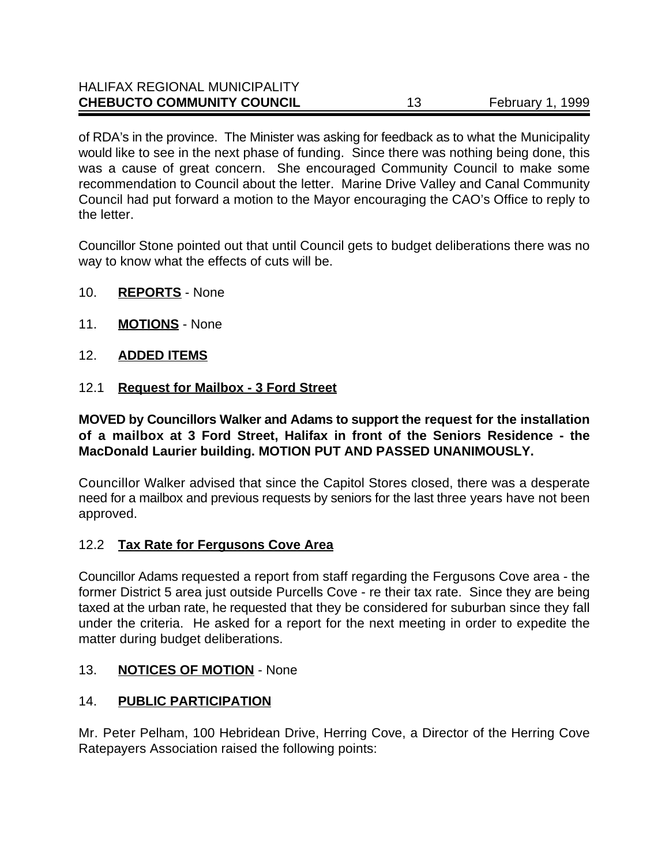of RDA's in the province. The Minister was asking for feedback as to what the Municipality would like to see in the next phase of funding. Since there was nothing being done, this was a cause of great concern. She encouraged Community Council to make some recommendation to Council about the letter. Marine Drive Valley and Canal Community Council had put forward a motion to the Mayor encouraging the CAO's Office to reply to the letter.

Councillor Stone pointed out that until Council gets to budget deliberations there was no way to know what the effects of cuts will be.

- 10. **REPORTS** None
- 11. **MOTIONS** None
- 12. **ADDED ITEMS**
- 12.1 **Request for Mailbox 3 Ford Street**

**MOVED by Councillors Walker and Adams to support the request for the installation of a mailbox at 3 Ford Street, Halifax in front of the Seniors Residence - the MacDonald Laurier building. MOTION PUT AND PASSED UNANIMOUSLY.**

Councillor Walker advised that since the Capitol Stores closed, there was a desperate need for a mailbox and previous requests by seniors for the last three years have not been approved.

# 12.2 **Tax Rate for Fergusons Cove Area**

Councillor Adams requested a report from staff regarding the Fergusons Cove area - the former District 5 area just outside Purcells Cove - re their tax rate. Since they are being taxed at the urban rate, he requested that they be considered for suburban since they fall under the criteria. He asked for a report for the next meeting in order to expedite the matter during budget deliberations.

### 13. **NOTICES OF MOTION** - None

# 14. **PUBLIC PARTICIPATION**

Mr. Peter Pelham, 100 Hebridean Drive, Herring Cove, a Director of the Herring Cove Ratepayers Association raised the following points: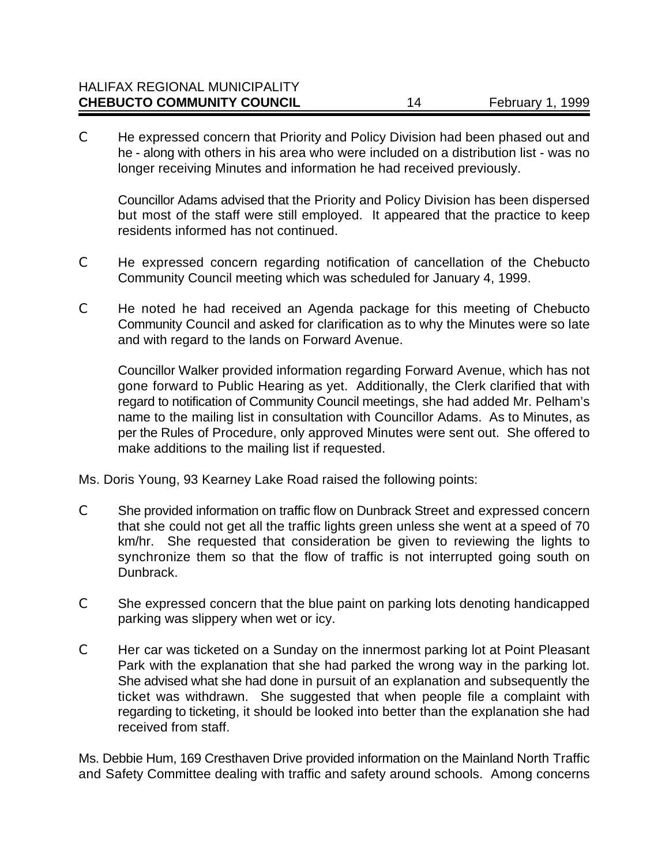| <b>CHEBUCTO COMMUNITY COUNCIL</b>    | February 1, 1999 |
|--------------------------------------|------------------|
| <b>HALIFAX REGIONAL MUNICIPALITY</b> |                  |

C He expressed concern that Priority and Policy Division had been phased out and he - along with others in his area who were included on a distribution list - was no longer receiving Minutes and information he had received previously.

Councillor Adams advised that the Priority and Policy Division has been dispersed but most of the staff were still employed. It appeared that the practice to keep residents informed has not continued.

- C He expressed concern regarding notification of cancellation of the Chebucto Community Council meeting which was scheduled for January 4, 1999.
- C He noted he had received an Agenda package for this meeting of Chebucto Community Council and asked for clarification as to why the Minutes were so late and with regard to the lands on Forward Avenue.

Councillor Walker provided information regarding Forward Avenue, which has not gone forward to Public Hearing as yet. Additionally, the Clerk clarified that with regard to notification of Community Council meetings, she had added Mr. Pelham's name to the mailing list in consultation with Councillor Adams. As to Minutes, as per the Rules of Procedure, only approved Minutes were sent out.She offered to make additions to the mailing list if requested.

Ms. Doris Young, 93 Kearney Lake Road raised the following points:

- C She provided information on traffic flow on Dunbrack Street and expressed concern that she could not get all the traffic lights green unless she went at a speed of 70 km/hr. She requested that consideration be given to reviewing the lights to synchronize them so that the flow of traffic is not interrupted going south on Dunbrack.
- C She expressed concern that the blue paint on parking lots denoting handicapped parking was slippery when wet or icy.
- C Her car was ticketed on a Sunday on the innermost parking lot at Point Pleasant Park with the explanation that she had parked the wrong way in the parking lot. She advised what she had done in pursuit of an explanation and subsequently the ticket was withdrawn. She suggested that when people file a complaint with regarding to ticketing, it should be looked into better than the explanation she had received from staff.

Ms. Debbie Hum, 169 Cresthaven Drive provided information on the Mainland North Traffic and Safety Committee dealing with traffic and safety around schools. Among concerns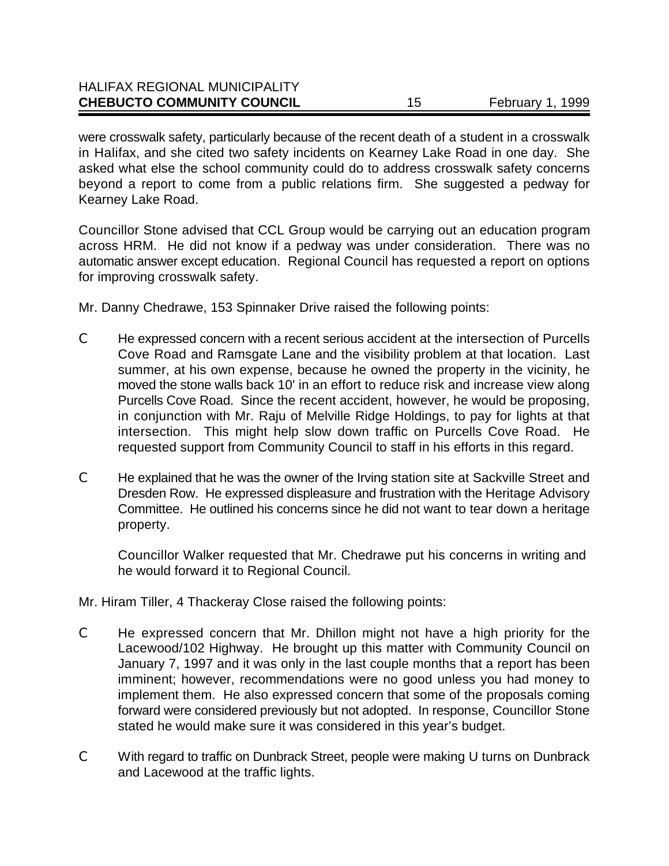| <b>CHEBUCTO COMMUNITY COUNCIL</b> | February 1, 1999 |
|-----------------------------------|------------------|
| HALIFAX REGIONAL MUNICIPALITY     |                  |

were crosswalk safety, particularly because of the recent death of a student in a crosswalk in Halifax, and she cited two safety incidents on Kearney Lake Road in one day. She asked what else the school community could do to address crosswalk safety concerns beyond a report to come from a public relations firm. She suggested a pedway for Kearney Lake Road.

Councillor Stone advised that CCL Group would be carrying out an education program across HRM. He did not know if a pedway was under consideration. There was no automatic answer except education. Regional Council has requested a report on options for improving crosswalk safety.

Mr. Danny Chedrawe, 153 Spinnaker Drive raised the following points:

 $H_1, H_2, H_3, H_4, H_5, H_6, H_7, H_8, H_9, H_1, H_2, H_3, H_4, H_5, H_6, H_7, H_8, H_9, H_9, H_1, H_2, H_3, H_4, H_5, H_7, H_8, H_9, H_9, H_9, H_9, H_1, H_1, H_2, H_3, H_1, H_1, H_2, H_3, H_4, H_5, H_6, H_1, H_1, H_2, H_3, H_1, H_1, H_2, H_3, H_1, H_1, H_2, H_3, H_1, H_1,$ 

- C He expressed concern with a recent serious accident at the intersection of Purcells Cove Road and Ramsgate Lane and the visibility problem at that location. Last summer, at his own expense, because he owned the property in the vicinity, he moved the stone walls back 10' in an effort to reduce risk and increase view along Purcells Cove Road. Since the recent accident, however, he would be proposing, in conjunction with Mr. Raju of Melville Ridge Holdings, to pay for lights at that intersection. This might help slow down traffic on Purcells Cove Road. He requested support from Community Council to staff in his efforts in this regard.
- C He explained that he was the owner of the Irving station site at Sackville Street and Dresden Row. He expressed displeasure and frustration with the Heritage Advisory Committee. He outlined his concerns since he did not want to tear down a heritage property.

Councillor Walker requested that Mr. Chedrawe put his concerns in writing and he would forward it to Regional Council.

Mr. Hiram Tiller, 4 Thackeray Close raised the following points:

- C He expressed concern that Mr. Dhillon might not have a high priority for the Lacewood/102 Highway. He brought up this matter with Community Council on January 7, 1997 and it was only in the last couple months that a report has been imminent; however, recommendations were no good unless you had money to implement them. He also expressed concern that some of the proposals coming forward were considered previously but not adopted. In response, Councillor Stone stated he would make sure it was considered in this year's budget.
- C With regard to traffic on Dunbrack Street, people were making U turns on Dunbrack and Lacewood at the traffic lights.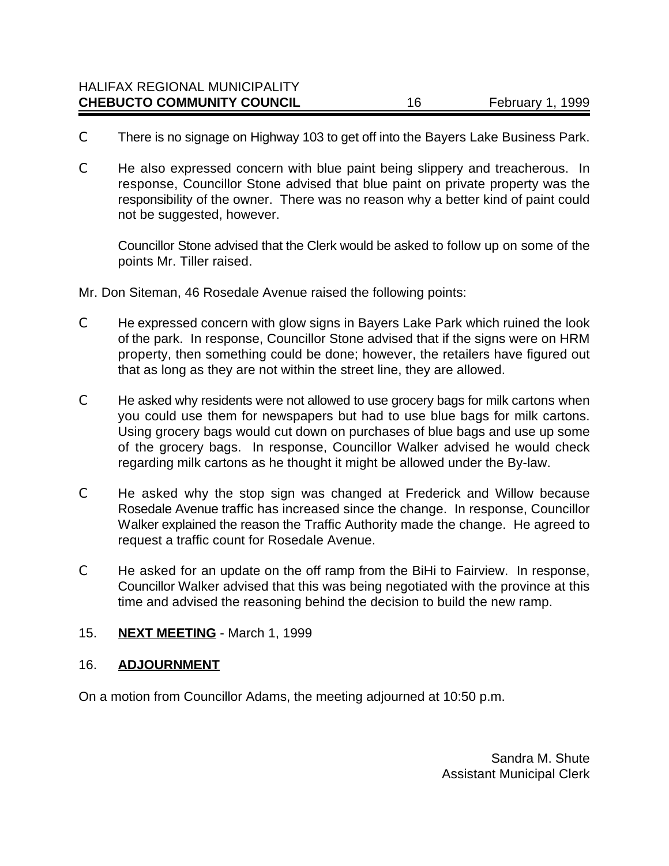- C There is no signage on Highway 103 to get off into the Bayers Lake Business Park.
- C He also expressed concern with blue paint being slippery and treacherous. In response, Councillor Stone advised that blue paint on private property was the responsibility of the owner. There was no reason why a better kind of paint could not be suggested, however.

Councillor Stone advised that the Clerk would be asked to follow up on some of the points Mr. Tiller raised.

Mr. Don Siteman, 46 Rosedale Avenue raised the following points:

- C He expressed concern with glow signs in Bayers Lake Park which ruined the look of the park. In response, Councillor Stone advised that if the signs were on HRM property, then something could be done; however, the retailers have figured out that as long as they are not within the street line, they are allowed.
- C He asked why residents were not allowed to use grocery bags for milk cartons when you could use them for newspapers but had to use blue bags for milk cartons. Using grocery bags would cut down on purchases of blue bags and use up some of the grocery bags. In response, Councillor Walker advised he would check regarding milk cartons as he thought it might be allowed under the By-law.
- C He asked why the stop sign was changed at Frederick and Willow because Rosedale Avenue traffic has increased since the change. In response, Councillor Walker explained the reason the Traffic Authority made the change. He agreed to request a traffic count for Rosedale Avenue.
- C He asked for an update on the off ramp from the BiHi to Fairview. In response, Councillor Walker advised that this was being negotiated with the province at this time and advised the reasoning behind the decision to build the new ramp.

### 15. **NEXT MEETING** - March 1, 1999

### 16. **ADJOURNMENT**

On a motion from Councillor Adams, the meeting adjourned at 10:50 p.m.

Sandra M. Shute Assistant Municipal Clerk